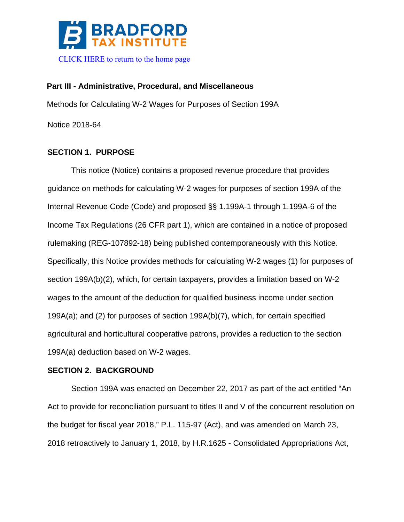

# **Part III - Administrative, Procedural, and Miscellaneous** Methods for Calculating W-2 Wages for Purposes of Section 199A Notice 2018-64

# **SECTION 1. PURPOSE**

This notice (Notice) contains a proposed revenue procedure that provides guidance on methods for calculating W-2 wages for purposes of section 199A of the Internal Revenue Code (Code) and proposed §§ 1.199A-1 through 1.199A-6 of the Income Tax Regulations (26 CFR part 1), which are contained in a notice of proposed rulemaking (REG-107892-18) being published contemporaneously with this Notice. Specifically, this Notice provides methods for calculating W-2 wages (1) for purposes of section 199A(b)(2), which, for certain taxpayers, provides a limitation based on W-2 wages to the amount of the deduction for qualified business income under section 199A(a); and (2) for purposes of section 199A(b)(7), which, for certain specified agricultural and horticultural cooperative patrons, provides a reduction to the section 199A(a) deduction based on W-2 wages.

# **SECTION 2. BACKGROUND**

Section 199A was enacted on December 22, 2017 as part of the act entitled "An Act to provide for reconciliation pursuant to titles II and V of the concurrent resolution on the budget for fiscal year 2018," P.L. 115-97 (Act), and was amended on March 23, 2018 retroactively to January 1, 2018, by H.R.1625 - Consolidated Appropriations Act,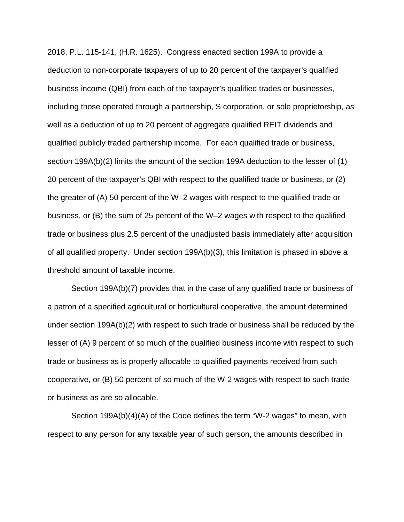2018, P.L. 115-141, (H.R. 1625). Congress enacted section 199A to provide a deduction to non-corporate taxpayers of up to 20 percent of the taxpayer's qualified business income (QBI) from each of the taxpayer's qualified trades or businesses, including those operated through a partnership, S corporation, or sole proprietorship, as well as a deduction of up to 20 percent of aggregate qualified REIT dividends and qualified publicly traded partnership income. For each qualified trade or business, section 199A(b)(2) limits the amount of the section 199A deduction to the lesser of (1) 20 percent of the taxpayer's QBI with respect to the qualified trade or business, or (2) the greater of (A) 50 percent of the W–2 wages with respect to the qualified trade or business, or (B) the sum of 25 percent of the W–2 wages with respect to the qualified trade or business plus 2.5 percent of the unadjusted basis immediately after acquisition of all qualified property. Under section 199A(b)(3), this limitation is phased in above a threshold amount of taxable income.

Section 199A(b)(7) provides that in the case of any qualified trade or business of a patron of a specified agricultural or horticultural cooperative, the amount determined under section 199A(b)(2) with respect to such trade or business shall be reduced by the lesser of (A) 9 percent of so much of the qualified business income with respect to such trade or business as is properly allocable to qualified payments received from such cooperative, or (B) 50 percent of so much of the W-2 wages with respect to such trade or business as are so allocable.

Section 199A(b)(4)(A) of the Code defines the term "W-2 wages" to mean, with respect to any person for any taxable year of such person, the amounts described in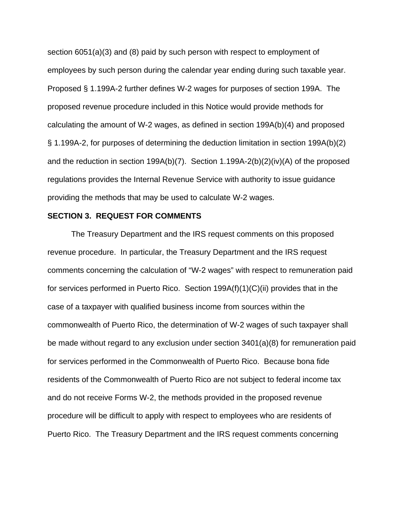section 6051(a)(3) and (8) paid by such person with respect to employment of employees by such person during the calendar year ending during such taxable year. Proposed § 1.199A-2 further defines W-2 wages for purposes of section 199A. The proposed revenue procedure included in this Notice would provide methods for calculating the amount of W-2 wages, as defined in section 199A(b)(4) and proposed § 1.199A-2, for purposes of determining the deduction limitation in section 199A(b)(2) and the reduction in section 199A(b)(7). Section 1.199A-2(b)(2)(iv)(A) of the proposed regulations provides the Internal Revenue Service with authority to issue guidance providing the methods that may be used to calculate W-2 wages.

#### **SECTION 3. REQUEST FOR COMMENTS**

The Treasury Department and the IRS request comments on this proposed revenue procedure. In particular, the Treasury Department and the IRS request comments concerning the calculation of "W-2 wages" with respect to remuneration paid for services performed in Puerto Rico. Section 199A(f)(1)(C)(ii) provides that in the case of a taxpayer with qualified business income from sources within the commonwealth of Puerto Rico, the determination of W-2 wages of such taxpayer shall be made without regard to any exclusion under section 3401(a)(8) for remuneration paid for services performed in the Commonwealth of Puerto Rico. Because bona fide residents of the Commonwealth of Puerto Rico are not subject to federal income tax and do not receive Forms W-2, the methods provided in the proposed revenue procedure will be difficult to apply with respect to employees who are residents of Puerto Rico. The Treasury Department and the IRS request comments concerning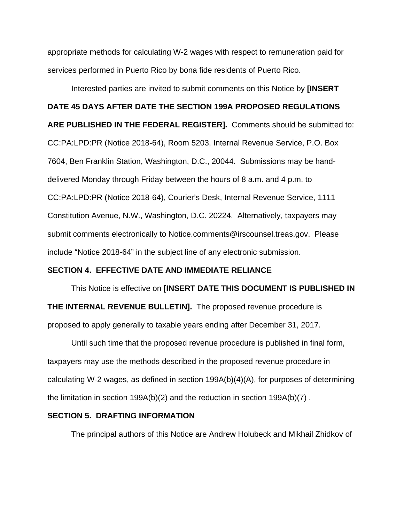appropriate methods for calculating W-2 wages with respect to remuneration paid for services performed in Puerto Rico by bona fide residents of Puerto Rico.

Interested parties are invited to submit comments on this Notice by **[INSERT DATE 45 DAYS AFTER DATE THE SECTION 199A PROPOSED REGULATIONS ARE PUBLISHED IN THE FEDERAL REGISTER].** Comments should be submitted to: CC:PA:LPD:PR (Notice 2018-64), Room 5203, Internal Revenue Service, P.O. Box 7604, Ben Franklin Station, Washington, D.C., 20044. Submissions may be handdelivered Monday through Friday between the hours of 8 a.m. and 4 p.m. to CC:PA:LPD:PR (Notice 2018-64), Courier's Desk, Internal Revenue Service, 1111 Constitution Avenue, N.W., Washington, D.C. 20224. Alternatively, taxpayers may submit comments electronically to Notice.comments@irscounsel.treas.gov. Please include "Notice 2018-64" in the subject line of any electronic submission.

#### **SECTION 4. EFFECTIVE DATE AND IMMEDIATE RELIANCE**

This Notice is effective on **[INSERT DATE THIS DOCUMENT IS PUBLISHED IN THE INTERNAL REVENUE BULLETIN].** The proposed revenue procedure is proposed to apply generally to taxable years ending after December 31, 2017.

Until such time that the proposed revenue procedure is published in final form, taxpayers may use the methods described in the proposed revenue procedure in calculating W-2 wages, as defined in section 199A(b)(4)(A), for purposes of determining the limitation in section 199A(b)(2) and the reduction in section 199A(b)(7) .

#### **SECTION 5. DRAFTING INFORMATION**

The principal authors of this Notice are Andrew Holubeck and Mikhail Zhidkov of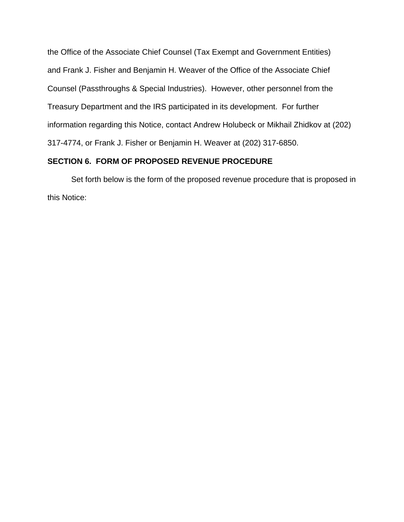the Office of the Associate Chief Counsel (Tax Exempt and Government Entities) and Frank J. Fisher and Benjamin H. Weaver of the Office of the Associate Chief Counsel (Passthroughs & Special Industries). However, other personnel from the Treasury Department and the IRS participated in its development. For further information regarding this Notice, contact Andrew Holubeck or Mikhail Zhidkov at (202) 317-4774, or Frank J. Fisher or Benjamin H. Weaver at (202) 317-6850.

# **SECTION 6. FORM OF PROPOSED REVENUE PROCEDURE**

Set forth below is the form of the proposed revenue procedure that is proposed in this Notice: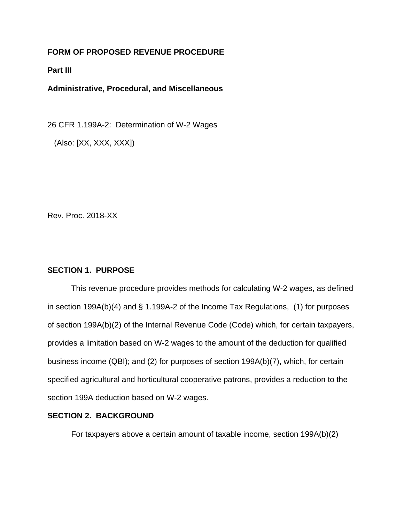# **FORM OF PROPOSED REVENUE PROCEDURE**

## **Part III**

**Administrative, Procedural, and Miscellaneous**

26 CFR 1.199A-2: Determination of W-2 Wages

(Also: [XX, XXX, XXX])

Rev. Proc. 2018-XX

# **SECTION 1. PURPOSE**

This revenue procedure provides methods for calculating W-2 wages, as defined in section 199A(b)(4) and § 1.199A-2 of the Income Tax Regulations, (1) for purposes of section 199A(b)(2) of the Internal Revenue Code (Code) which, for certain taxpayers, provides a limitation based on W-2 wages to the amount of the deduction for qualified business income (QBI); and (2) for purposes of section 199A(b)(7), which, for certain specified agricultural and horticultural cooperative patrons, provides a reduction to the section 199A deduction based on W-2 wages.

#### **SECTION 2. BACKGROUND**

For taxpayers above a certain amount of taxable income, section 199A(b)(2)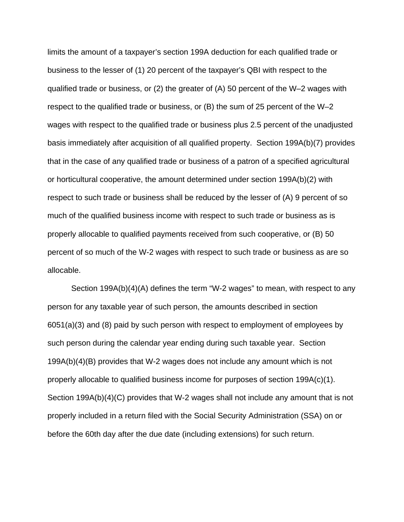limits the amount of a taxpayer's section 199A deduction for each qualified trade or business to the lesser of (1) 20 percent of the taxpayer's QBI with respect to the qualified trade or business, or (2) the greater of (A) 50 percent of the W–2 wages with respect to the qualified trade or business, or (B) the sum of 25 percent of the W–2 wages with respect to the qualified trade or business plus 2.5 percent of the unadjusted basis immediately after acquisition of all qualified property. Section 199A(b)(7) provides that in the case of any qualified trade or business of a patron of a specified agricultural or horticultural cooperative, the amount determined under section 199A(b)(2) with respect to such trade or business shall be reduced by the lesser of (A) 9 percent of so much of the qualified business income with respect to such trade or business as is properly allocable to qualified payments received from such cooperative, or (B) 50 percent of so much of the W-2 wages with respect to such trade or business as are so allocable.

Section 199A(b)(4)(A) defines the term "W-2 wages" to mean, with respect to any person for any taxable year of such person, the amounts described in section 6051(a)(3) and (8) paid by such person with respect to employment of employees by such person during the calendar year ending during such taxable year. Section 199A(b)(4)(B) provides that W-2 wages does not include any amount which is not properly allocable to qualified business income for purposes of section 199A(c)(1). Section 199A(b)(4)(C) provides that W-2 wages shall not include any amount that is not properly included in a return filed with the Social Security Administration (SSA) on or before the 60th day after the due date (including extensions) for such return.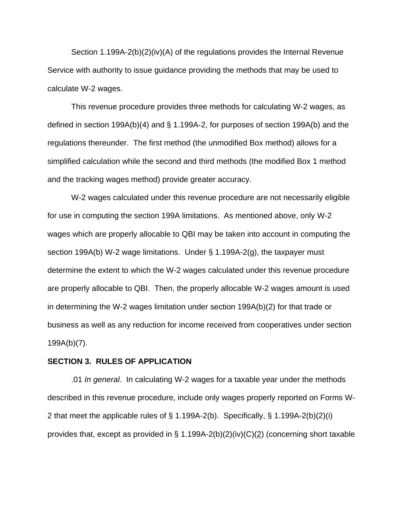Section 1.199A-2(b)(2)(iv)(A) of the regulations provides the Internal Revenue Service with authority to issue guidance providing the methods that may be used to calculate W-2 wages.

This revenue procedure provides three methods for calculating W-2 wages, as defined in section 199A(b)(4) and § 1.199A-2, for purposes of section 199A(b) and the regulations thereunder. The first method (the unmodified Box method) allows for a simplified calculation while the second and third methods (the modified Box 1 method and the tracking wages method) provide greater accuracy.

W-2 wages calculated under this revenue procedure are not necessarily eligible for use in computing the section 199A limitations. As mentioned above, only W-2 wages which are properly allocable to QBI may be taken into account in computing the section 199A(b) W-2 wage limitations. Under § 1.199A-2(g), the taxpayer must determine the extent to which the W-2 wages calculated under this revenue procedure are properly allocable to QBI. Then, the properly allocable W-2 wages amount is used in determining the W-2 wages limitation under section 199A(b)(2) for that trade or business as well as any reduction for income received from cooperatives under section 199A(b)(7).

#### **SECTION 3. RULES OF APPLICATION**

.01 *In general*. In calculating W-2 wages for a taxable year under the methods described in this revenue procedure, include only wages properly reported on Forms W-2 that meet the applicable rules of § 1.199A-2(b). Specifically, § 1.199A-2(b)(2)(i) provides that, except as provided in  $\S$  1.199A-2(b)(2)(iv)(C)(2) (concerning short taxable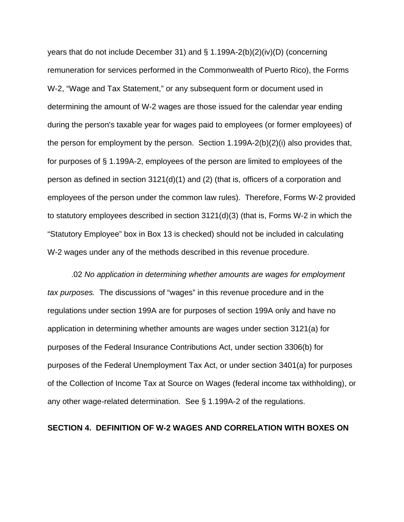years that do not include December 31) and § 1.199A-2(b)(2)(iv)(D) (concerning remuneration for services performed in the Commonwealth of Puerto Rico), the Forms W-2, "Wage and Tax Statement," or any subsequent form or document used in determining the amount of W-2 wages are those issued for the calendar year ending during the person's taxable year for wages paid to employees (or former employees) of the person for employment by the person. Section  $1.199A-2(b)(2)(i)$  also provides that, for purposes of § 1.199A-2, employees of the person are limited to employees of the person as defined in section 3121(d)(1) and (2) (that is, officers of a corporation and employees of the person under the common law rules). Therefore, Forms W-2 provided to statutory employees described in section 3121(d)(3) (that is, Forms W-2 in which the "Statutory Employee" box in Box 13 is checked) should not be included in calculating W-2 wages under any of the methods described in this revenue procedure.

.02 *No application in determining whether amounts are wages for employment tax purposes.* The discussions of "wages" in this revenue procedure and in the regulations under section 199A are for purposes of section 199A only and have no application in determining whether amounts are wages under section 3121(a) for purposes of the Federal Insurance Contributions Act, under section 3306(b) for purposes of the Federal Unemployment Tax Act, or under section 3401(a) for purposes of the Collection of Income Tax at Source on Wages (federal income tax withholding), or any other wage-related determination. See § 1.199A-2 of the regulations.

# **SECTION 4. DEFINITION OF W-2 WAGES AND CORRELATION WITH BOXES ON**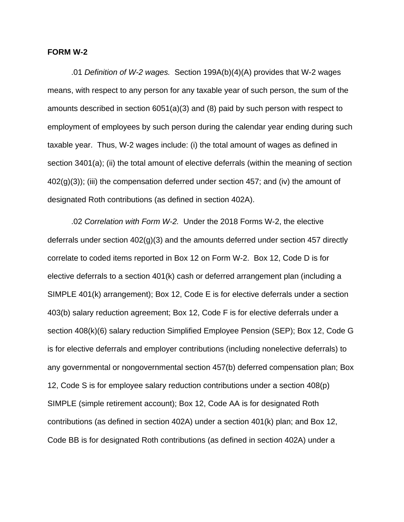#### **FORM W-2**

.01 *Definition of W-2 wages.* Section 199A(b)(4)(A) provides that W-2 wages means, with respect to any person for any taxable year of such person, the sum of the amounts described in section 6051(a)(3) and (8) paid by such person with respect to employment of employees by such person during the calendar year ending during such taxable year. Thus, W-2 wages include: (i) the total amount of wages as defined in section 3401(a); (ii) the total amount of elective deferrals (within the meaning of section  $402(g)(3)$ ; (iii) the compensation deferred under section 457; and (iv) the amount of designated Roth contributions (as defined in section 402A).

.02 *Correlation with Form W-2.* Under the 2018 Forms W-2, the elective deferrals under section 402(g)(3) and the amounts deferred under section 457 directly correlate to coded items reported in Box 12 on Form W-2. Box 12, Code D is for elective deferrals to a section 401(k) cash or deferred arrangement plan (including a SIMPLE 401(k) arrangement); Box 12, Code E is for elective deferrals under a section 403(b) salary reduction agreement; Box 12, Code F is for elective deferrals under a section 408(k)(6) salary reduction Simplified Employee Pension (SEP); Box 12, Code G is for elective deferrals and employer contributions (including nonelective deferrals) to any governmental or nongovernmental section 457(b) deferred compensation plan; Box 12, Code S is for employee salary reduction contributions under a section 408(p) SIMPLE (simple retirement account); Box 12, Code AA is for designated Roth contributions (as defined in section 402A) under a section 401(k) plan; and Box 12, Code BB is for designated Roth contributions (as defined in section 402A) under a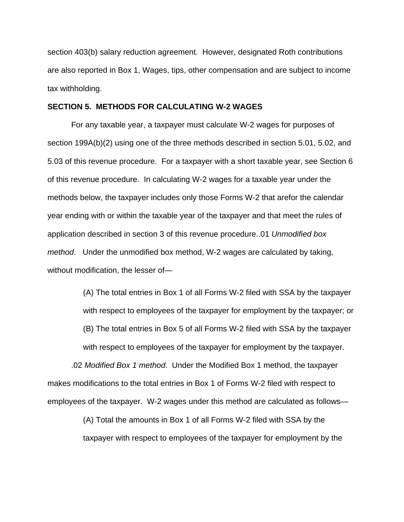section 403(b) salary reduction agreement. However, designated Roth contributions are also reported in Box 1, Wages, tips, other compensation and are subject to income tax withholding.

#### **SECTION 5. METHODS FOR CALCULATING W-2 WAGES**

For any taxable year, a taxpayer must calculate W-2 wages for purposes of section 199A(b)(2) using one of the three methods described in section 5.01, 5.02, and 5.03 of this revenue procedure. For a taxpayer with a short taxable year, see Section 6 of this revenue procedure. In calculating W-2 wages for a taxable year under the methods below, the taxpayer includes only those Forms W-2 that arefor the calendar year ending with or within the taxable year of the taxpayer and that meet the rules of application described in section 3 of this revenue procedure..01 *Unmodified box method*. Under the unmodified box method, W-2 wages are calculated by taking, without modification, the lesser of—

(A) The total entries in Box 1 of all Forms W-2 filed with SSA by the taxpayer with respect to employees of the taxpayer for employment by the taxpayer; or (B) The total entries in Box 5 of all Forms W-2 filed with SSA by the taxpayer with respect to employees of the taxpayer for employment by the taxpayer. .02 *Modified Box 1 method*. Under the Modified Box 1 method, the taxpayer makes modifications to the total entries in Box 1 of Forms W-2 filed with respect to employees of the taxpayer. W-2 wages under this method are calculated as follows—

> (A) Total the amounts in Box 1 of all Forms W-2 filed with SSA by the taxpayer with respect to employees of the taxpayer for employment by the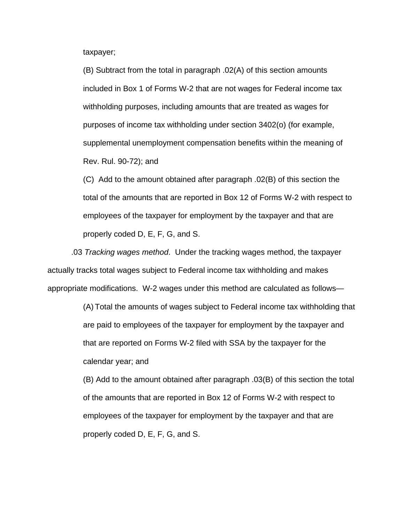taxpayer;

(B) Subtract from the total in paragraph .02(A) of this section amounts included in Box 1 of Forms W-2 that are not wages for Federal income tax withholding purposes, including amounts that are treated as wages for purposes of income tax withholding under section 3402(o) (for example, supplemental unemployment compensation benefits within the meaning of Rev. Rul. 90-72); and

(C) Add to the amount obtained after paragraph .02(B) of this section the total of the amounts that are reported in Box 12 of Forms W-2 with respect to employees of the taxpayer for employment by the taxpayer and that are properly coded D, E, F, G, and S.

.03 *Tracking wages method*. Under the tracking wages method, the taxpayer actually tracks total wages subject to Federal income tax withholding and makes appropriate modifications. W-2 wages under this method are calculated as follows—

> (A) Total the amounts of wages subject to Federal income tax withholding that are paid to employees of the taxpayer for employment by the taxpayer and that are reported on Forms W-2 filed with SSA by the taxpayer for the calendar year; and

> (B) Add to the amount obtained after paragraph .03(B) of this section the total of the amounts that are reported in Box 12 of Forms W-2 with respect to employees of the taxpayer for employment by the taxpayer and that are properly coded D, E, F, G, and S.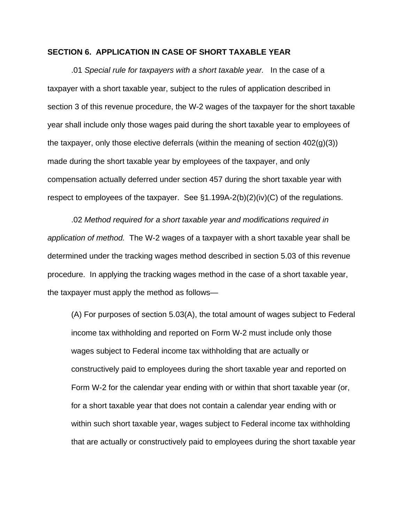### **SECTION 6. APPLICATION IN CASE OF SHORT TAXABLE YEAR**

.01 *Special rule for taxpayers with a short taxable year.* In the case of a taxpayer with a short taxable year, subject to the rules of application described in section 3 of this revenue procedure, the W-2 wages of the taxpayer for the short taxable year shall include only those wages paid during the short taxable year to employees of the taxpayer, only those elective deferrals (within the meaning of section  $402(q)(3)$ ) made during the short taxable year by employees of the taxpayer, and only compensation actually deferred under section 457 during the short taxable year with respect to employees of the taxpayer. See  $\S1.199A-2(b)(2)(iv)(C)$  of the regulations.

.02 *Method required for a short taxable year and modifications required in application of method.* The W-2 wages of a taxpayer with a short taxable year shall be determined under the tracking wages method described in section 5.03 of this revenue procedure. In applying the tracking wages method in the case of a short taxable year, the taxpayer must apply the method as follows—

(A) For purposes of section 5.03(A), the total amount of wages subject to Federal income tax withholding and reported on Form W-2 must include only those wages subject to Federal income tax withholding that are actually or constructively paid to employees during the short taxable year and reported on Form W-2 for the calendar year ending with or within that short taxable year (or, for a short taxable year that does not contain a calendar year ending with or within such short taxable year, wages subject to Federal income tax withholding that are actually or constructively paid to employees during the short taxable year